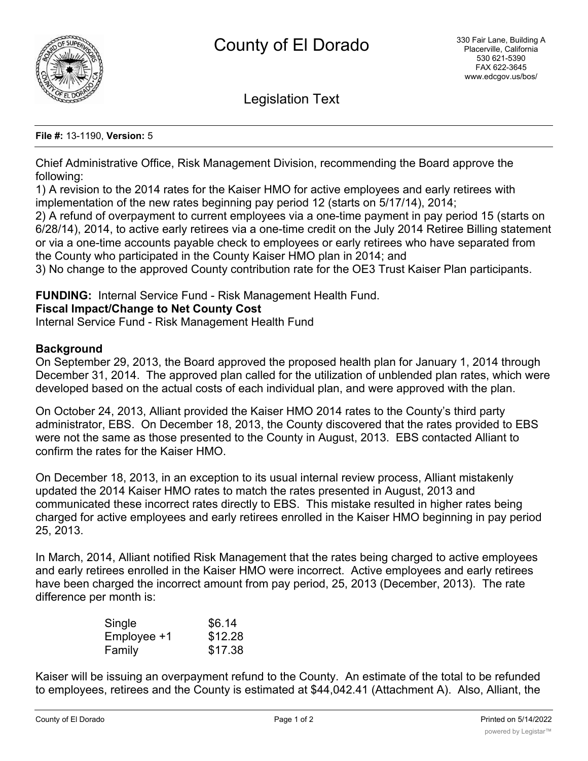

Legislation Text

#### **File #:** 13-1190, **Version:** 5

Chief Administrative Office, Risk Management Division, recommending the Board approve the following:

1) A revision to the 2014 rates for the Kaiser HMO for active employees and early retirees with implementation of the new rates beginning pay period 12 (starts on 5/17/14), 2014;

2) A refund of overpayment to current employees via a one-time payment in pay period 15 (starts on 6/28/14), 2014, to active early retirees via a one-time credit on the July 2014 Retiree Billing statement or via a one-time accounts payable check to employees or early retirees who have separated from the County who participated in the County Kaiser HMO plan in 2014; and

3) No change to the approved County contribution rate for the OE3 Trust Kaiser Plan participants.

**FUNDING:** Internal Service Fund - Risk Management Health Fund.

### **Fiscal Impact/Change to Net County Cost**

Internal Service Fund - Risk Management Health Fund

### **Background**

On September 29, 2013, the Board approved the proposed health plan for January 1, 2014 through December 31, 2014. The approved plan called for the utilization of unblended plan rates, which were developed based on the actual costs of each individual plan, and were approved with the plan.

On October 24, 2013, Alliant provided the Kaiser HMO 2014 rates to the County's third party administrator, EBS. On December 18, 2013, the County discovered that the rates provided to EBS were not the same as those presented to the County in August, 2013. EBS contacted Alliant to confirm the rates for the Kaiser HMO.

On December 18, 2013, in an exception to its usual internal review process, Alliant mistakenly updated the 2014 Kaiser HMO rates to match the rates presented in August, 2013 and communicated these incorrect rates directly to EBS. This mistake resulted in higher rates being charged for active employees and early retirees enrolled in the Kaiser HMO beginning in pay period 25, 2013.

In March, 2014, Alliant notified Risk Management that the rates being charged to active employees and early retirees enrolled in the Kaiser HMO were incorrect. Active employees and early retirees have been charged the incorrect amount from pay period, 25, 2013 (December, 2013). The rate difference per month is:

| Single      | \$6.14  |
|-------------|---------|
| Employee +1 | \$12.28 |
| Family      | \$17.38 |

Kaiser will be issuing an overpayment refund to the County. An estimate of the total to be refunded to employees, retirees and the County is estimated at \$44,042.41 (Attachment A). Also, Alliant, the